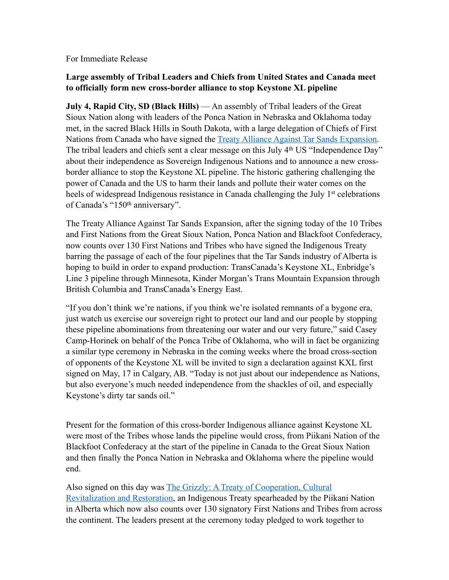For Immediate Release

## **Large assembly of Tribal Leaders and Chiefs from United States and Canada meet to officially form new cross-border alliance to stop Keystone XL pipeline**

**July 4, Rapid City, SD (Black Hills)** — An assembly of Tribal leaders of the Great Sioux Nation along with leaders of the Ponca Nation in Nebraska and Oklahoma today met, in the sacred Black Hills in South Dakota, with a large delegation of Chiefs of First Nations from Canada who have signed the [Treaty Alliance Against Tar Sands Expansion](http://www.treatyalliance.org/). The tribal leaders and chiefs sent a clear message on this July 4<sup>th</sup> US "Independence Day" about their independence as Sovereign Indigenous Nations and to announce a new crossborder alliance to stop the Keystone XL pipeline. The historic gathering challenging the power of Canada and the US to harm their lands and pollute their water comes on the heels of widespread Indigenous resistance in Canada challenging the July 1<sup>st</sup> celebrations of Canada's "150th anniversary".

The Treaty Alliance Against Tar Sands Expansion, after the signing today of the 10 Tribes and First Nations from the Great Sioux Nation, Ponca Nation and Blackfoot Confederacy, now counts over 130 First Nations and Tribes who have signed the Indigenous Treaty barring the passage of each of the four pipelines that the Tar Sands industry of Alberta is hoping to build in order to expand production: TransCanada's Keystone XL, Enbridge's Line 3 pipeline through Minnesota, Kinder Morgan's Trans Mountain Expansion through British Columbia and TransCanada's Energy East.

"If you don't think we're nations, if you think we're isolated remnants of a bygone era, just watch us exercise our sovereign right to protect our land and our people by stopping these pipeline abominations from threatening our water and our very future," said Casey Camp-Horinek on behalf of the Ponca Tribe of Oklahoma, who will in fact be organizing a similar type ceremony in Nebraska in the coming weeks where the broad cross-section of opponents of the Keystone XL will be invited to sign a declaration against KXL first signed on May, 17 in Calgary, AB. "Today is not just about our independence as Nations, but also everyone's much needed independence from the shackles of oil, and especially Keystone's dirty tar sands oil."

Present for the formation of this cross-border Indigenous alliance against Keystone XL were most of the Tribes whose lands the pipeline would cross, from Piikani Nation of the Blackfoot Confederacy at the start of the pipeline in Canada to the Great Sioux Nation and then finally the Ponca Nation in Nebraska and Oklahoma where the pipeline would end.

Also signed on this day was [The Grizzly: A Treaty of Cooperation, Cultural](https://www.piikaninationtreaty.com/)  [Revitalization and Restoration,](https://www.piikaninationtreaty.com/) an Indigenous Treaty spearheaded by the Piikani Nation in Alberta which now also counts over 130 signatory First Nations and Tribes from across the continent. The leaders present at the ceremony today pledged to work together to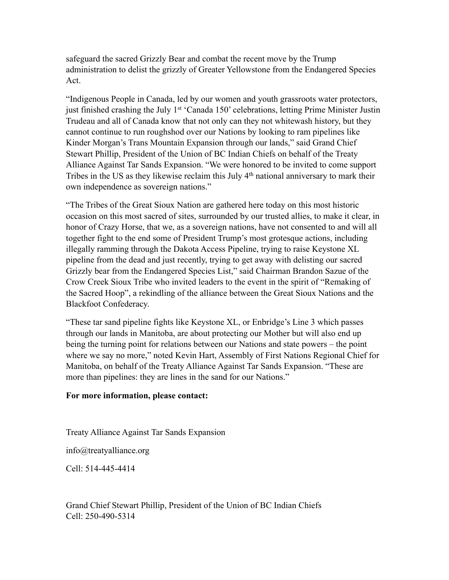safeguard the sacred Grizzly Bear and combat the recent move by the Trump administration to delist the grizzly of Greater Yellowstone from the Endangered Species Act.

"Indigenous People in Canada, led by our women and youth grassroots water protectors, just finished crashing the July 1<sup>st '</sup>Canada 150' celebrations, letting Prime Minister Justin Trudeau and all of Canada know that not only can they not whitewash history, but they cannot continue to run roughshod over our Nations by looking to ram pipelines like Kinder Morgan's Trans Mountain Expansion through our lands," said Grand Chief Stewart Phillip, President of the Union of BC Indian Chiefs on behalf of the Treaty Alliance Against Tar Sands Expansion. "We were honored to be invited to come support Tribes in the US as they likewise reclaim this July 4th national anniversary to mark their own independence as sovereign nations."

"The Tribes of the Great Sioux Nation are gathered here today on this most historic occasion on this most sacred of sites, surrounded by our trusted allies, to make it clear, in honor of Crazy Horse, that we, as a sovereign nations, have not consented to and will all together fight to the end some of President Trump's most grotesque actions, including illegally ramming through the Dakota Access Pipeline, trying to raise Keystone XL pipeline from the dead and just recently, trying to get away with delisting our sacred Grizzly bear from the Endangered Species List," said Chairman Brandon Sazue of the Crow Creek Sioux Tribe who invited leaders to the event in the spirit of "Remaking of the Sacred Hoop", a rekindling of the alliance between the Great Sioux Nations and the Blackfoot Confederacy.

"These tar sand pipeline fights like Keystone XL, or Enbridge's Line 3 which passes through our lands in Manitoba, are about protecting our Mother but will also end up being the turning point for relations between our Nations and state powers – the point where we say no more," noted Kevin Hart, Assembly of First Nations Regional Chief for Manitoba, on behalf of the Treaty Alliance Against Tar Sands Expansion. "These are more than pipelines: they are lines in the sand for our Nations."

## **For more information, please contact:**

Treaty Alliance Against Tar Sands Expansion

info@treatyalliance.org

Cell: 514-445-4414

Grand Chief Stewart Phillip, President of the Union of BC Indian Chiefs Cell: 250-490-5314